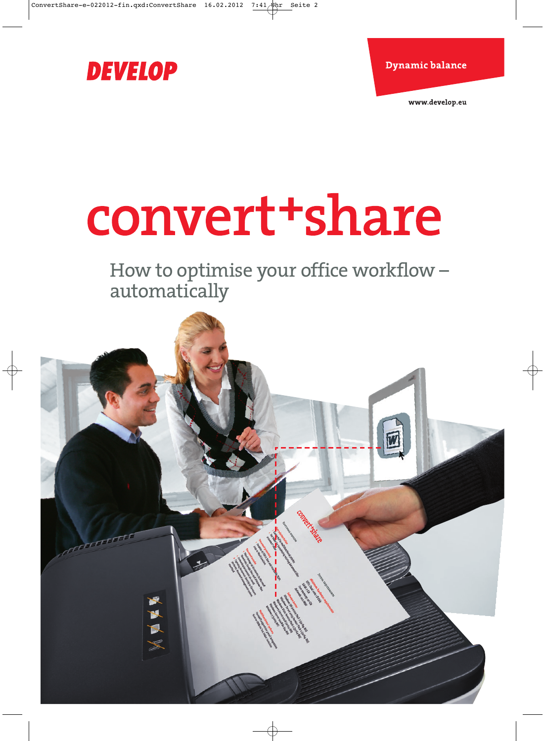

**Dynamic balance** 

# convert+share

How to optimise your office workflow – automatically

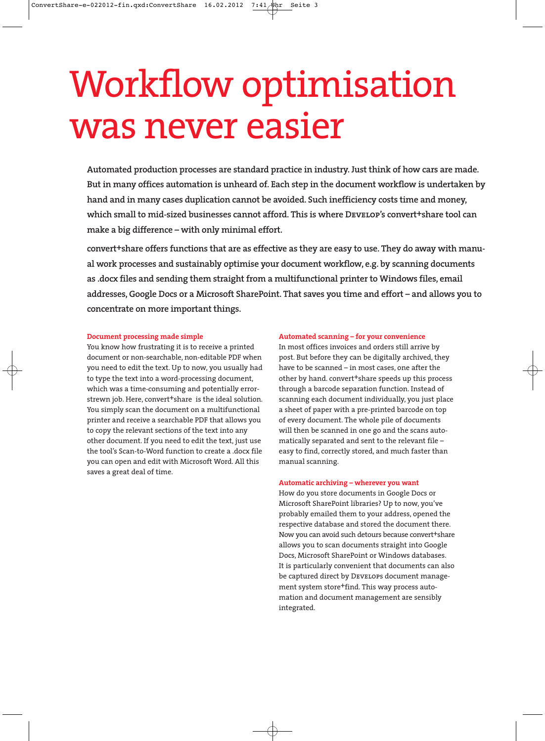## Workflow optimisation was never easier

**Automated production processes are standard practice in industry. Just think of how cars are made. But in many offices automation is unheard of. Each step in the document workflow is undertaken by hand and in many cases duplication cannot be avoided. Such inefficiency costs time and money, which small to mid-sized businesses cannot afford. This is where Develop's convert+share tool can make a big difference – with only minimal effort.**

**convert+share offers functions that are as effective as they are easy to use. They do away with manual work processes and sustainably optimise your document workflow, e.g. by scanning documents as .docx files and sending them straight from a multifunctional printer to Windows files, email addresses, Google Docs or a Microsoft SharePoint. That saves you time and effort – and allows you to concentrate on more important things.**

#### **Document processing made simple**

You know how frustrating it is to receive a printed document or non-searchable, non-editable PDF when you need to edit the text. Up to now, you usually had to type the text into a word-processing document, which was a time-consuming and potentially errorstrewn job. Here, convert+share is the ideal solution. You simply scan the document on a multifunctional printer and receive a searchable PDF that allows you to copy the relevant sections of the text into any other document. If you need to edit the text, just use the tool's Scan-to-Word function to create a .docx file you can open and edit with Microsoft Word. All this saves a great deal of time.

#### **Automated scanning – for your convenience**

In most offices invoices and orders still arrive by post. But before they can be digitally archived, they have to be scanned – in most cases, one after the other by hand. convert+share speeds up this process through a barcode separation function. Instead of scanning each document individually, you just place a sheet of paper with a pre-printed barcode on top of every document. The whole pile of documents will then be scanned in one go and the scans automatically separated and sent to the relevant file – easy to find, correctly stored, and much faster than manual scanning.

#### **Automatic archiving – wherever you want**

How do you store documents in Google Docs or Microsoft SharePoint libraries? Up to now, you've probably emailed them to your address, opened the respective database and stored the document there. Now you can avoid such detours because convert<sup>+</sup>share allows you to scan documents straight into Google Docs, Microsoft SharePoint or Windows databases. It is particularly convenient that documents can also be captured direct by Develops document management system store<sup>+</sup>find. This way process automation and document management are sensibly integrated.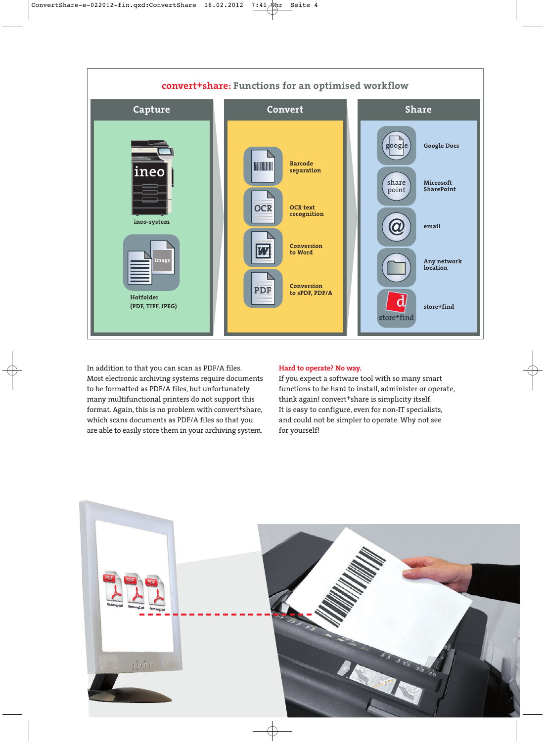

In addition to that you can scan as PDF/A files. Most electronic archiving systems require documents to be formatted as PDF/A files, but unfortunately many multifunctional printers do not support this format. Again, this is no problem with convert<sup>+</sup>share, which scans documents as PDF/A files so that you are able to easily store them in your archiving system.

#### **Hard to operate? No way.**

If you expect a software tool with so many smart functions to be hard to install, administer or operate, think again! convert+share is simplicity itself. It is easy to configure, even for non-IT specialists, and could not be simpler to operate. Why not see for yourself!